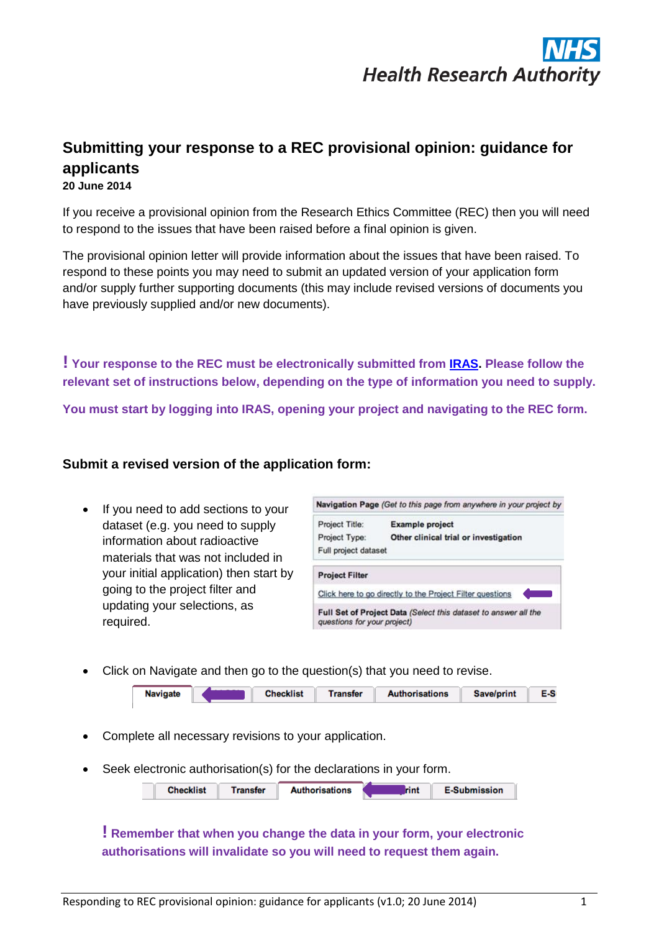

# **Submitting your response to a REC provisional opinion: guidance for applicants**

**20 June 2014**

If you receive a provisional opinion from the Research Ethics Committee (REC) then you will need to respond to the issues that have been raised before a final opinion is given.

The provisional opinion letter will provide information about the issues that have been raised. To respond to these points you may need to submit an updated version of your application form and/or supply further supporting documents (this may include revised versions of documents you have previously supplied and/or new documents).

**! Your response to the REC must be electronically submitted from [IRAS.](https://www.myresearchproject.org.uk/Signin.aspx) Please follow the relevant set of instructions below, depending on the type of information you need to supply.** 

**You must start by logging into IRAS, opening your project and navigating to the REC form.** 

### **Submit a revised version of the application form:**

• If you need to add sections to your dataset (e.g. you need to supply information about radioactive materials that was not included in your initial application) then start by going to the project filter and updating your selections, as required.

| Navigation Page (Get to this page from anywhere in your project by |                                                                 |  |  |  |  |  |
|--------------------------------------------------------------------|-----------------------------------------------------------------|--|--|--|--|--|
| Project Title:                                                     | <b>Example project</b>                                          |  |  |  |  |  |
| Project Type:                                                      | Other clinical trial or investigation                           |  |  |  |  |  |
| Full project dataset                                               |                                                                 |  |  |  |  |  |
| <b>Project Filter</b>                                              |                                                                 |  |  |  |  |  |
|                                                                    | Click here to go directly to the Project Filter questions       |  |  |  |  |  |
| questions for your project)                                        | Full Set of Project Data (Select this dataset to answer all the |  |  |  |  |  |

Click on Navigate and then go to the question(s) that you need to revise.



- Complete all necessary revisions to your application.
- Seek electronic authorisation(s) for the declarations in your form.

| <b>Checklist</b> | Transfer | <b>Authorisations</b> | rint | <b>E-Submission</b> |
|------------------|----------|-----------------------|------|---------------------|
|                  |          |                       |      |                     |

## **! Remember that when you change the data in your form, your electronic authorisations will invalidate so you will need to request them again.**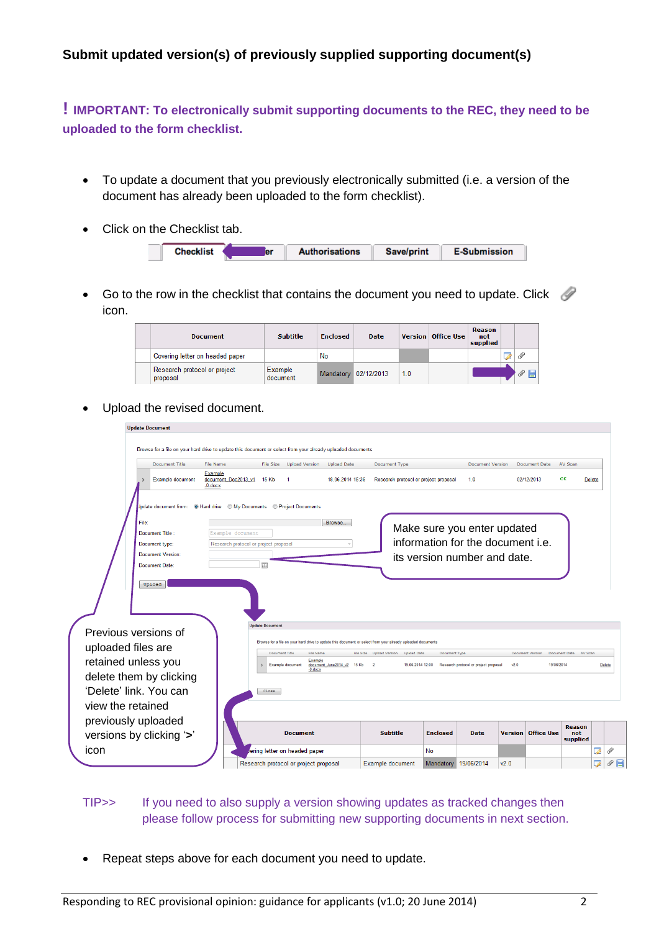## **Submit updated version(s) of previously supplied supporting document(s)**

**! IMPORTANT: To electronically submit supporting documents to the REC, they need to be uploaded to the form checklist.** 

- To update a document that you previously electronically submitted (i.e. a version of the document has already been uploaded to the form checklist).
- Click on the Checklist tab.

|  | la r | <b>Authorisations</b> | Save/print | <b>E-Submission</b> |
|--|------|-----------------------|------------|---------------------|
|  |      |                       |            |                     |

Go to the row in the checklist that contains the document you need to update. Click  $\mathscr P$ icon.

| <b>Document</b>                          | <b>Subtitle</b>     | <b>Enclosed</b> | <b>Date</b>          |     | Version   Office Use | <b>Reason</b><br>not<br>supplied |       |
|------------------------------------------|---------------------|-----------------|----------------------|-----|----------------------|----------------------------------|-------|
| Covering letter on headed paper          |                     | No              |                      |     |                      |                                  |       |
| Research protocol or project<br>proposal | Example<br>document |                 | Mandatory 02/12/2013 | 1.0 |                      |                                  | l – r |

• Upload the revised document.

| <b>Update Document</b>                     |                                                  |                                                                                                             |                            |                                             |                 |                                       |      |                           |                                  |        |               |
|--------------------------------------------|--------------------------------------------------|-------------------------------------------------------------------------------------------------------------|----------------------------|---------------------------------------------|-----------------|---------------------------------------|------|---------------------------|----------------------------------|--------|---------------|
|                                            |                                                  | Browse for a file on your hard drive to update this document or select from your already uploaded documents |                            |                                             |                 |                                       |      |                           |                                  |        |               |
| <b>Document Title</b>                      | <b>File Name</b>                                 | File Size<br><b>Upload Version</b>                                                                          | <b>Upload Date</b>         | Document Type                               |                 | <b>Document Version</b>               |      | Document Date             | AV Scan                          |        |               |
| Example document                           | Example<br>document Dec2013 v1<br>$-0$ . doc $x$ | 15 Kb<br>$\mathbf{1}$                                                                                       | 18.06.2014 15:36           | Research protocol or project proposal       |                 | 1.0                                   |      | 02/12/2013                | OK                               | Delete |               |
|                                            |                                                  | Jpdate document from: O Hard drive O My Documents O Project Documents                                       |                            |                                             |                 |                                       |      |                           |                                  |        |               |
| File <sup>-</sup>                          |                                                  |                                                                                                             | Browse.                    |                                             |                 | Make sure you enter updated           |      |                           |                                  |        |               |
| Document Title:                            | Example document                                 |                                                                                                             |                            |                                             |                 | information for the document i.e.     |      |                           |                                  |        |               |
| Document type:<br><b>Document Version:</b> | Research protocol or project proposal            |                                                                                                             |                            |                                             |                 |                                       |      |                           |                                  |        |               |
| Document Date:                             |                                                  | 圃                                                                                                           |                            |                                             |                 | its version number and date.          |      |                           |                                  |        |               |
|                                            |                                                  | <b>Update Document</b>                                                                                      |                            |                                             |                 |                                       |      |                           |                                  |        |               |
| Previous versions of                       |                                                  | Browse for a file on your hard drive to update this document or select from your already uploaded documents |                            |                                             |                 |                                       |      |                           |                                  |        |               |
| uploaded files are                         |                                                  | Document Title<br><b>File Name</b>                                                                          |                            | File Size Upload Version Upload Date        | Document Type   |                                       |      | Document Version          | Document Date<br>AV Scan         |        |               |
| retained unless you                        |                                                  | Example<br><b>Example document</b><br>$-0$ . doc $x$                                                        | document_June2014_v2 15 Kb | $\overline{\mathbf{2}}$<br>19.06.2014 12:00 |                 | Research protocol or project proposal | v2.0 | 19/06/2014                |                                  |        | <b>Delete</b> |
| delete them by clicking                    |                                                  |                                                                                                             |                            |                                             |                 |                                       |      |                           |                                  |        |               |
| 'Delete' link. You can                     |                                                  | Close                                                                                                       |                            |                                             |                 |                                       |      |                           |                                  |        |               |
| view the retained                          |                                                  |                                                                                                             |                            |                                             |                 |                                       |      |                           |                                  |        |               |
| previously uploaded                        |                                                  |                                                                                                             |                            |                                             |                 |                                       |      |                           |                                  |        |               |
| versions by clicking '>'                   |                                                  | <b>Document</b>                                                                                             |                            | <b>Subtitle</b>                             | <b>Enclosed</b> | <b>Date</b>                           |      | <b>Version Office Use</b> | <b>Reason</b><br>not<br>supplied |        |               |
| icon                                       |                                                  | ering letter on headed paper                                                                                |                            |                                             | <b>No</b>       |                                       |      |                           |                                  | 7      | Ï             |
|                                            |                                                  | Research protocol or project proposal                                                                       |                            | Example document                            | Mandatory       | 19/06/2014                            | v2.0 |                           |                                  |        |               |

## TIP>> If you need to also supply a version showing updates as tracked changes then please follow process for submitting new supporting documents in next section.

• Repeat steps above for each document you need to update.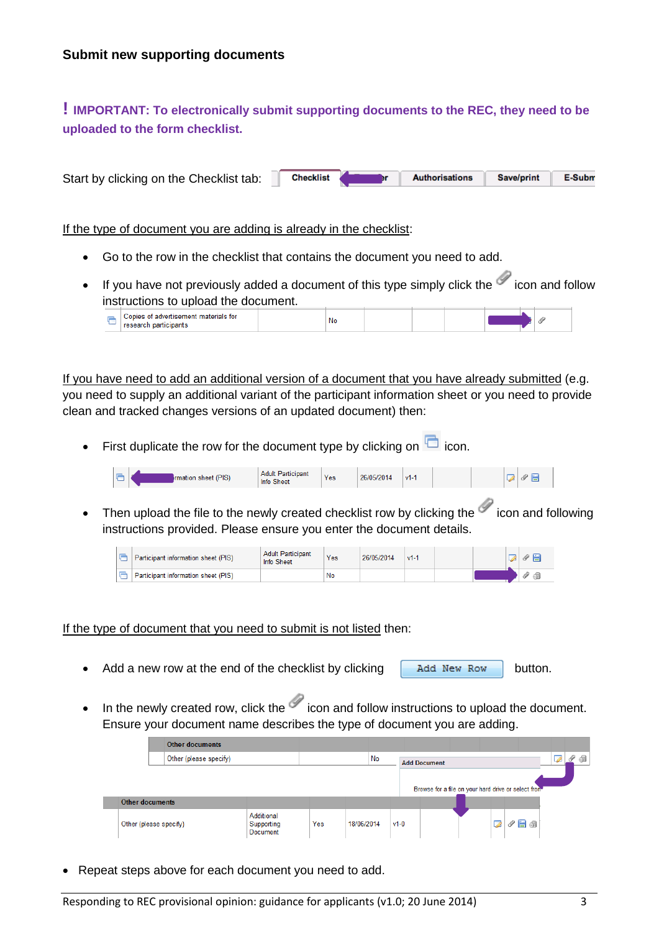# **! IMPORTANT: To electronically submit supporting documents to the REC, they need to be uploaded to the form checklist.**

Start by clicking on the Checklist tab: **Checklist Authorisations** Save/print E-Subm

If the type of document you are adding is already in the checklist:

- Go to the row in the checklist that contains the document you need to add.
- If you have not previously added a document of this type simply click the  $\mathscr I$  icon and follow instructions to upload the document.

| <b>Copies</b><br>↑materials for<br><b>SHIAHICAMAN</b><br>$F = F \circ F$ | No |  |  |  |
|--------------------------------------------------------------------------|----|--|--|--|

If you have need to add an additional version of a document that you have already submitted (e.g. you need to supply an additional variant of the participant information sheet or you need to provide clean and tracked changes versions of an updated document) then:

First duplicate the row for the document type by clicking on  $\Box$  icon.



• Then upload the file to the newly created checklist row by clicking the  $\mathcal O$  icon and following instructions provided. Please ensure you enter the document details.

|  | Participant information sheet (PIS) | <b>Adult Participant</b><br>Info Sheet | Yes | 26/05/2014 | $v1$ - |  |  |
|--|-------------------------------------|----------------------------------------|-----|------------|--------|--|--|
|  | Participant information sheet (PIS) |                                        | No  |            |        |  |  |

#### If the type of document that you need to submit is not listed then:

- Add a new row at the end of the checklist by clicking  $\Box$  Add New Row button.
- In the newly created row, click the  $\mathcal O$  icon and follow instructions to upload the document. Ensure your document name describes the type of document you are adding.

| Other documents        |                                      |     |            |        |                                                     |   |  |  |
|------------------------|--------------------------------------|-----|------------|--------|-----------------------------------------------------|---|--|--|
| Other (please specify) |                                      |     | No         |        | <b>Add Document</b>                                 |   |  |  |
| Other documents        |                                      |     |            |        | Browse for a file on your hard drive or select from |   |  |  |
| Other (please specify) | Additional<br>Supporting<br>Document | Yes | 18/06/2014 | $v1-0$ |                                                     | Ø |  |  |

Repeat steps above for each document you need to add.